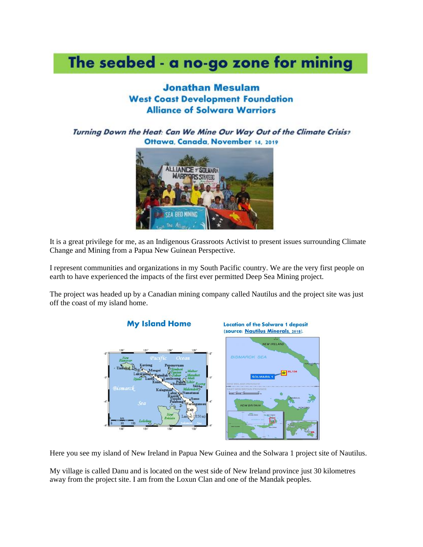# The seabed - a no-go zone for mining

#### **Jonathan Mesulam West Coast Development Foundation Alliance of Solwara Warriors**

Turning Down the Heat: Can We Mine Our Way Out of the Climate Crisis? Ottawa, Canada, November 14, 2019



It is a great privilege for me, as an Indigenous Grassroots Activist to present issues surrounding Climate Change and Mining from a Papua New Guinean Perspective.

I represent communities and organizations in my South Pacific country. We are the very first people on earth to have experienced the impacts of the first ever permitted Deep Sea Mining project.

The project was headed up by a Canadian mining company called Nautilus and the project site was just off the coast of my island home.



Here you see my island of New Ireland in Papua New Guinea and the Solwara 1 project site of Nautilus.

My village is called Danu and is located on the west side of New Ireland province just 30 kilometres away from the project site. I am from the Loxun Clan and one of the Mandak peoples.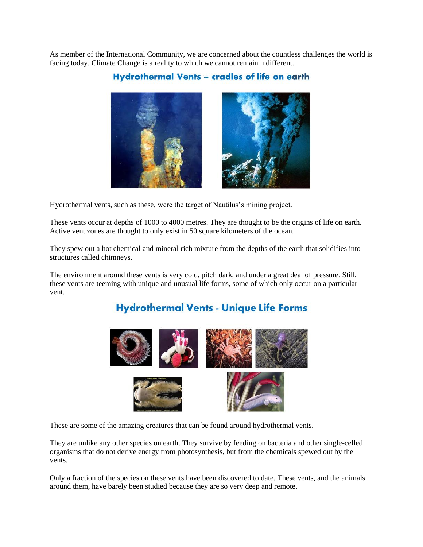As member of the International Community, we are concerned about the countless challenges the world is facing today. Climate Change is a reality to which we cannot remain indifferent.

#### Hydrothermal Vents - cradles of life on earth



Hydrothermal vents, such as these, were the target of Nautilus's mining project.

These vents occur at depths of 1000 to 4000 metres. They are thought to be the origins of life on earth. Active vent zones are thought to only exist in 50 square kilometers of the ocean.

They spew out a hot chemical and mineral rich mixture from the depths of the earth that solidifies into structures called chimneys.

The environment around these vents is very cold, pitch dark, and under a great deal of pressure. Still, these vents are teeming with unique and unusual life forms, some of which only occur on a particular vent.

# **Hydrothermal Vents - Unique Life Forms**



These are some of the amazing creatures that can be found around hydrothermal vents.

They are unlike any other species on earth. They survive by feeding on bacteria and other single-celled organisms that do not derive energy from photosynthesis, but from the chemicals spewed out by the vents.

Only a fraction of the species on these vents have been discovered to date. These vents, and the animals around them, have barely been studied because they are so very deep and remote.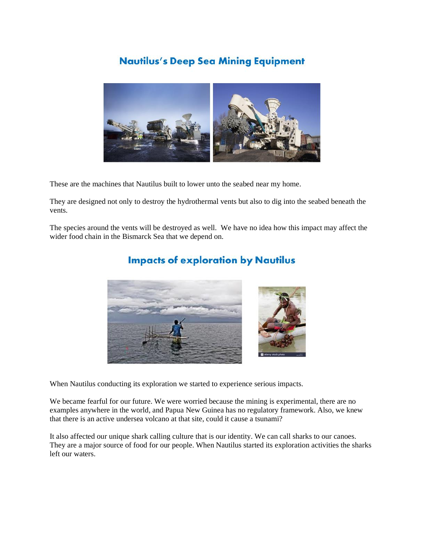# **Nautilus's Deep Sea Mining Equipment**



These are the machines that Nautilus built to lower unto the seabed near my home.

They are designed not only to destroy the hydrothermal vents but also to dig into the seabed beneath the vents.

The species around the vents will be destroyed as well. We have no idea how this impact may affect the wider food chain in the Bismarck Sea that we depend on.



# **Impacts of exploration by Nautilus**

When Nautilus conducting its exploration we started to experience serious impacts.

We became fearful for our future. We were worried because the mining is experimental, there are no examples anywhere in the world, and Papua New Guinea has no regulatory framework. Also, we knew that there is an active undersea volcano at that site, could it cause a tsunami?

It also affected our unique shark calling culture that is our identity. We can call sharks to our canoes. They are a major source of food for our people. When Nautilus started its exploration activities the sharks left our waters.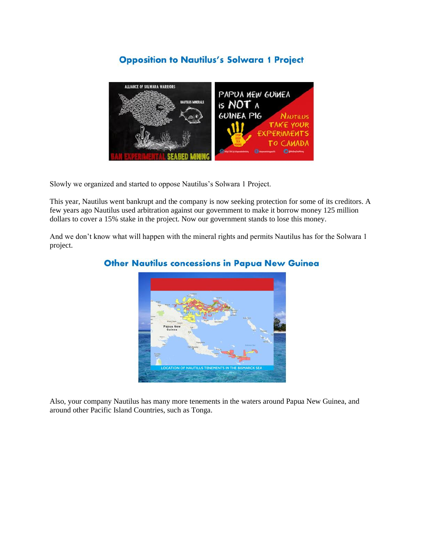#### **Opposition to Nautilus's Solwara 1 Project**



Slowly we organized and started to oppose Nautilus's Solwara 1 Project.

This year, Nautilus went bankrupt and the company is now seeking protection for some of its creditors. A few years ago Nautilus used arbitration against our government to make it borrow money 125 million dollars to cover a 15% stake in the project. Now our government stands to lose this money.

And we don't know what will happen with the mineral rights and permits Nautilus has for the Solwara 1 project.



#### **Other Nautilus concessions in Papua New Guinea**

Also, your company Nautilus has many more tenements in the waters around Papua New Guinea, and around other Pacific Island Countries, such as Tonga.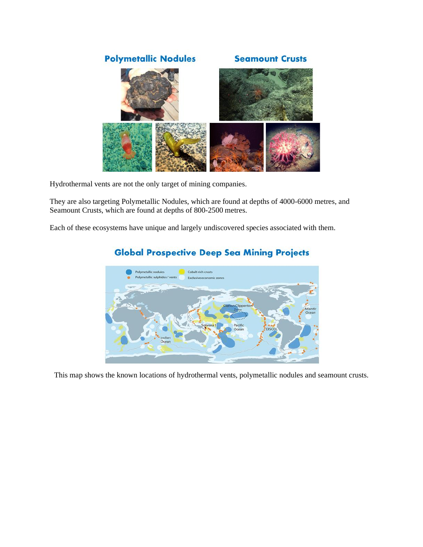

Hydrothermal vents are not the only target of mining companies.

They are also targeting Polymetallic Nodules, which are found at depths of 4000-6000 metres, and Seamount Crusts, which are found at depths of 800-2500 metres.

Each of these ecosystems have unique and largely undiscovered species associated with them.



# **Global Prospective Deep Sea Mining Projects**

This map shows the known locations of hydrothermal vents, polymetallic nodules and seamount crusts.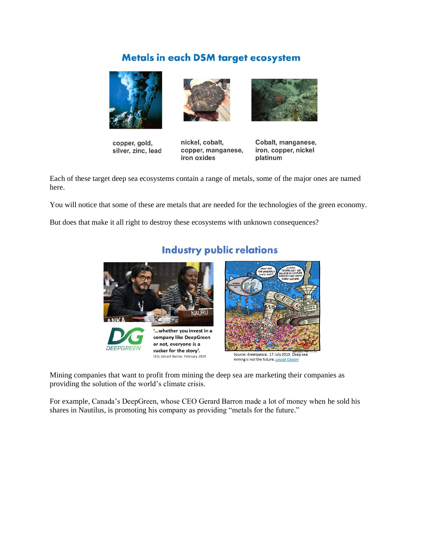# **Metals in each DSM target ecosystem**



copper, gold, silver, zinc, lead



nickel, cobalt, copper, manganese, iron oxides



Cobalt, manganese, iron, copper, nickel platinum

Each of these target deep sea ecosystems contain a range of metals, some of the major ones are named here.

You will notice that some of these are metals that are needed for the technologies of the green economy.

But does that make it all right to destroy these ecosystems with unknown consequences?



# **Industry public relations**

Mining companies that want to profit from mining the deep sea are marketing their companies as providing the solution of the world's climate crisis.

For example, Canada's DeepGreen, whose CEO Gerard Barron made a lot of money when he sold his shares in Nautilus, is promoting his company as providing "metals for the future."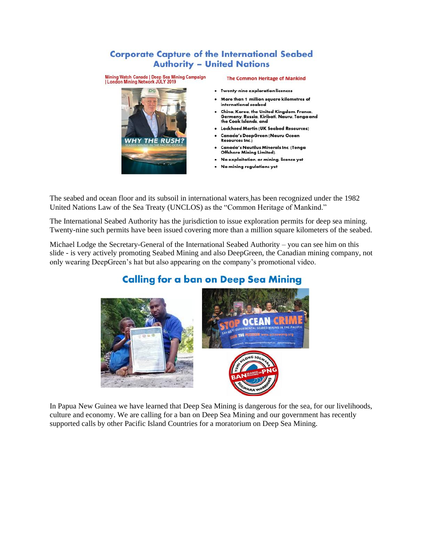#### **Corporate Capture of the International Seabed Authority - United Nations**



#### **The Common Heritage of Mankind**

- Twenty-nine exploration licences
- More than 1 million square kilometres of international seabed
- China, Korea, the United Kingdom, France, Germany, Russia, Kiribati, Nauru, Tonga and the Cook Islands, and
- Lockheed Martin (UK Seabed Resources)
- Canada's DeepGreen (Nauru Ocean Resources Inc.)
- Canada's Nautilus Minerals Inc. (Tonga Offshore Mining Limited).
- No exploitation, or mining, licence yet
- No mining regulations yet

The seabed and ocean floor and its subsoil in international waters has been recognized under the 1982 United Nations Law of the Sea Treaty (UNCLOS) as the "Common Heritage of Mankind."

The International Seabed Authority has the jurisdiction to issue exploration permits for deep sea mining. Twenty-nine such permits have been issued covering more than a million square kilometers of the seabed.

Michael Lodge the Secretary-General of the International Seabed Authority – you can see him on this slide - is very actively promoting Seabed Mining and also DeepGreen, the Canadian mining company, not only wearing DeepGreen's hat but also appearing on the company's promotional video.



# **Calling for a ban on Deep Sea Mining**

In Papua New Guinea we have learned that Deep Sea Mining is dangerous for the sea, for our livelihoods, culture and economy. We are calling for a ban on Deep Sea Mining and our government has recently supported calls by other Pacific Island Countries for a moratorium on Deep Sea Mining.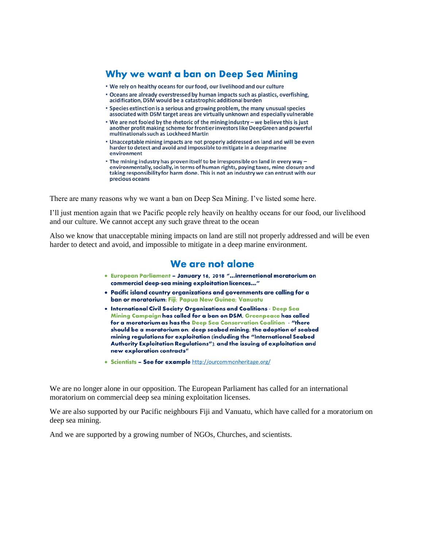### Why we want a ban on Deep Sea Mining

- . We rely on healthy oceans for our food, our livelihood and our culture
- Oceans are already overstressed by human impacts such as plastics, overfishing, acidification, DSM would be a catastrophic additional burden
- \* Species extinction is a serious and growing problem, the many unusual species associated with DSM target areas are virtually unknown and especially vulnerable
- We are not fooled by the rhetoric of the mining industry we believe this is just another profit making scheme for frontier investors like DeepGreen and powerful multinationals such as Lockheed Martin
- . Unacceptable mining impacts are not properly addressed on land and will be even harder to detect and avoid and impossible to mitigate in a deep marine environment
- The mining industry has proven itself to be irresponsible on land in every way environmentally, socially, in terms of human rights, paying taxes, mine closure and taking responsibility for harm done. This is not an industry we can entrust with our precious oceans

There are many reasons why we want a ban on Deep Sea Mining. I've listed some here.

I'll just mention again that we Pacific people rely heavily on healthy oceans for our food, our livelihood and our culture. We cannot accept any such grave threat to the ocean

Also we know that unacceptable mining impacts on land are still not properly addressed and will be even harder to detect and avoid, and impossible to mitigate in a deep marine environment.

#### We are not alone

- . European Parliament January 16, 2018 "...international moratorium on commercial deep-sea mining exploitation licences..."
- . Pacific island country organizations and governments are calling for a ban or moratorium: Fiji; Papua New Guinea; Vanuatu
- . International Civil Society Organizations and Coalitions Deep Sea Mining Campaign has called for a ban on DSM, Greenpeace has called for a moratorium as has the Deep Sea Conservation Coalition - "there should be a moratorium on: deep seabed mining; the adoption of seabed mining regulations for exploitation (including the "International Seabed Authority Exploitation Regulations"); and the issuing of exploitation and new exploration contracts"
- Scientists See for example http://ourcommonheritage.org/

We are no longer alone in our opposition. The European Parliament has called for an international moratorium on commercial deep sea mining exploitation licenses.

We are also supported by our Pacific neighbours Fiji and Vanuatu, which have called for a moratorium on deep sea mining.

And we are supported by a growing number of NGOs, Churches, and scientists.